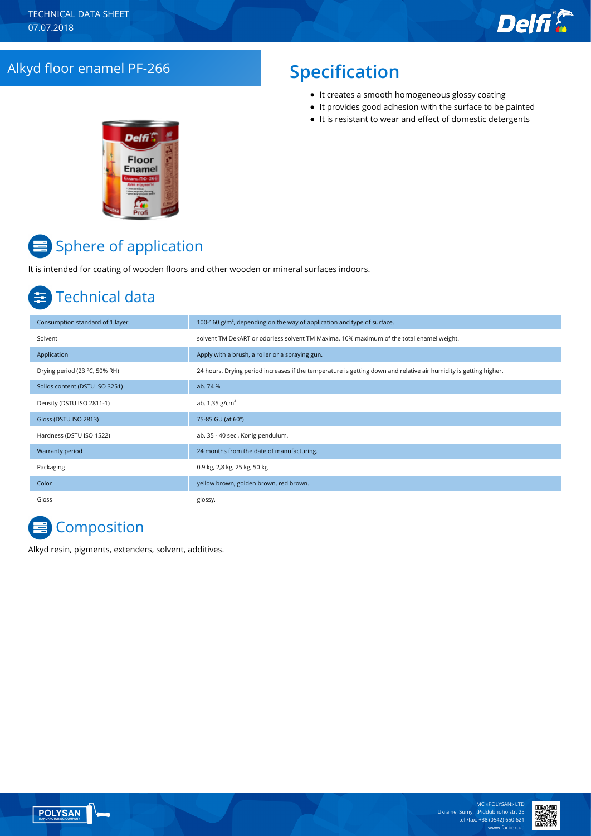## Alkyd floor enamel PF-266 **Specification**

- It creates a smooth homogeneous glossy coating
- It provides good adhesion with the surface to be painted
- $\bullet$  It is resistant to wear and effect of domestic detergents



# Sphere of application

It is intended for coating of wooden floors and other wooden or mineral surfaces indoors.

## Technical data

| Consumption standard of 1 layer | 100-160 $g/m2$ , depending on the way of application and type of surface.                                         |
|---------------------------------|-------------------------------------------------------------------------------------------------------------------|
| Solvent                         | solvent TM DekART or odorless solvent TM Maxima, 10% maximum of the total enamel weight.                          |
| Application                     | Apply with a brush, a roller or a spraying gun.                                                                   |
| Drying period (23 °C, 50% RH)   | 24 hours. Drying period increases if the temperature is getting down and relative air humidity is getting higher. |
| Solids content (DSTU ISO 3251)  | ab. 74 %                                                                                                          |
| Density (DSTU ISO 2811-1)       | ab. $1,35$ g/cm <sup>3</sup>                                                                                      |
| Gloss (DSTU ISO 2813)           | 75-85 GU (at 60°)                                                                                                 |
| Hardness (DSTU ISO 1522)        | ab. 35 - 40 sec, Konig pendulum.                                                                                  |
| Warranty period                 | 24 months from the date of manufacturing.                                                                         |
| Packaging                       | 0,9 kg, 2,8 kg, 25 kg, 50 kg                                                                                      |
| Color                           | yellow brown, golden brown, red brown.                                                                            |
| Gloss                           | glossy.                                                                                                           |

## **Composition**

Alkyd resin, pigments, extenders, solvent, additives.